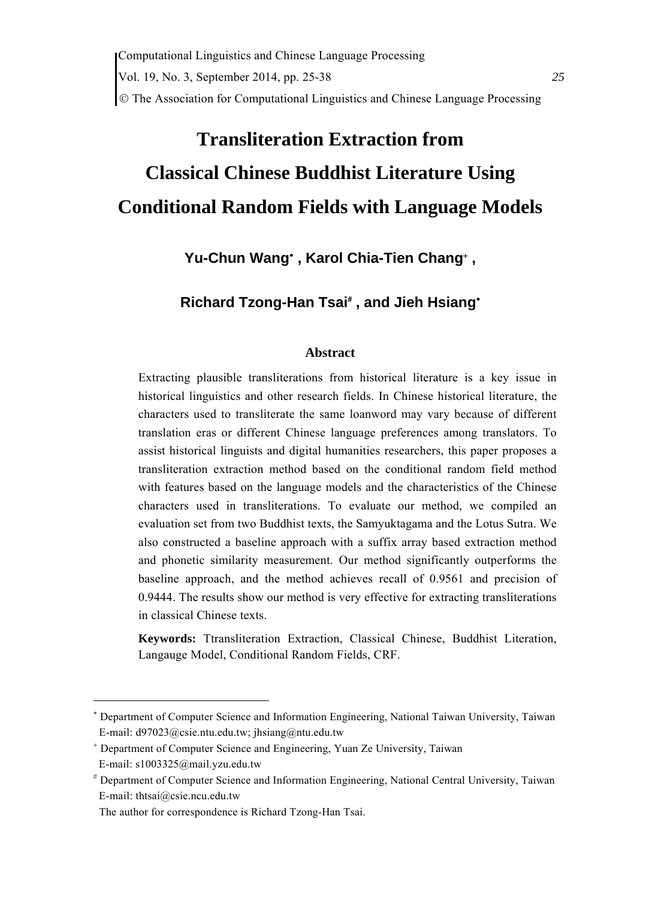Computational Linguistics and Chinese Language Processing Vol. 19, No. 3, September 2014, pp. 25-38 *25* The Association for Computational Linguistics and Chinese Language Processing

# **Transliteration Extraction from Classical Chinese Buddhist Literature Using Conditional Random Fields with Language Models**

Yu-Chun Wang<sup>\*</sup>, Karol Chia-Tien Chang<sup>\*</sup>,

**Richard Tzong-Han Tsai , and Jieh Hsiang**

#### **Abstract**

Extracting plausible transliterations from historical literature is a key issue in historical linguistics and other research fields. In Chinese historical literature, the characters used to transliterate the same loanword may vary because of different translation eras or different Chinese language preferences among translators. To assist historical linguists and digital humanities researchers, this paper proposes a transliteration extraction method based on the conditional random field method with features based on the language models and the characteristics of the Chinese characters used in transliterations. To evaluate our method, we compiled an evaluation set from two Buddhist texts, the Samyuktagama and the Lotus Sutra. We also constructed a baseline approach with a suffix array based extraction method and phonetic similarity measurement. Our method significantly outperforms the baseline approach, and the method achieves recall of 0.9561 and precision of 0.9444. The results show our method is very effective for extracting transliterations in classical Chinese texts.

**Keywords:** Ttransliteration Extraction, Classical Chinese, Buddhist Literation, Langauge Model, Conditional Random Fields, CRF.

<sup>\*</sup>  Department of Computer Science and Information Engineering, National Taiwan University, Taiwan E-mail: d97023@csie.ntu.edu.tw; jhsiang@ntu.edu.tw

 Department of Computer Science and Engineering, Yuan Ze University, Taiwan

E-mail: s1003325@mail.yzu.edu.tw

 Department of Computer Science and Information Engineering, National Central University, Taiwan E-mail: thtsai@csie.ncu.edu.tw

The author for correspondence is Richard Tzong-Han Tsai.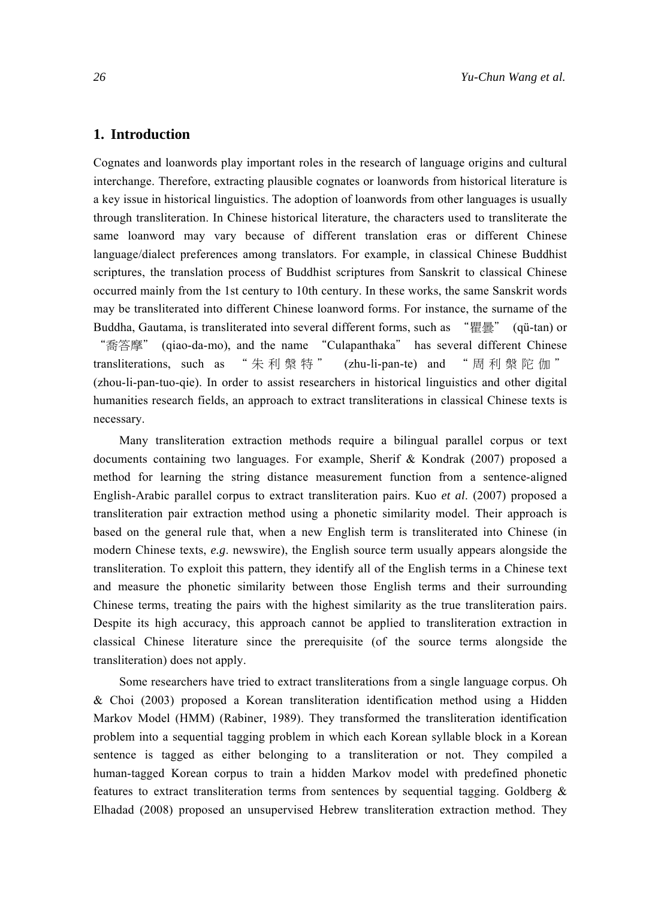#### **1. Introduction**

Cognates and loanwords play important roles in the research of language origins and cultural interchange. Therefore, extracting plausible cognates or loanwords from historical literature is a key issue in historical linguistics. The adoption of loanwords from other languages is usually through transliteration. In Chinese historical literature, the characters used to transliterate the same loanword may vary because of different translation eras or different Chinese language/dialect preferences among translators. For example, in classical Chinese Buddhist scriptures, the translation process of Buddhist scriptures from Sanskrit to classical Chinese occurred mainly from the 1st century to 10th century. In these works, the same Sanskrit words may be transliterated into different Chinese loanword forms. For instance, the surname of the Buddha, Gautama, is transliterated into several different forms, such as "瞿曇" (qü-tan) or "喬答摩" (qiao-da-mo), and the name "Culapanthaka" has several different Chinese transliterations, such as "朱利槃特" (zhu-li-pan-te) and "周利槃陀伽" (zhou-li-pan-tuo-qie). In order to assist researchers in historical linguistics and other digital humanities research fields, an approach to extract transliterations in classical Chinese texts is necessary.

Many transliteration extraction methods require a bilingual parallel corpus or text documents containing two languages. For example, Sherif & Kondrak (2007) proposed a method for learning the string distance measurement function from a sentence-aligned English-Arabic parallel corpus to extract transliteration pairs. Kuo *et al*. (2007) proposed a transliteration pair extraction method using a phonetic similarity model. Their approach is based on the general rule that, when a new English term is transliterated into Chinese (in modern Chinese texts, *e.g*. newswire), the English source term usually appears alongside the transliteration. To exploit this pattern, they identify all of the English terms in a Chinese text and measure the phonetic similarity between those English terms and their surrounding Chinese terms, treating the pairs with the highest similarity as the true transliteration pairs. Despite its high accuracy, this approach cannot be applied to transliteration extraction in classical Chinese literature since the prerequisite (of the source terms alongside the transliteration) does not apply.

Some researchers have tried to extract transliterations from a single language corpus. Oh & Choi (2003) proposed a Korean transliteration identification method using a Hidden Markov Model (HMM) (Rabiner, 1989). They transformed the transliteration identification problem into a sequential tagging problem in which each Korean syllable block in a Korean sentence is tagged as either belonging to a transliteration or not. They compiled a human-tagged Korean corpus to train a hidden Markov model with predefined phonetic features to extract transliteration terms from sentences by sequential tagging. Goldberg & Elhadad (2008) proposed an unsupervised Hebrew transliteration extraction method. They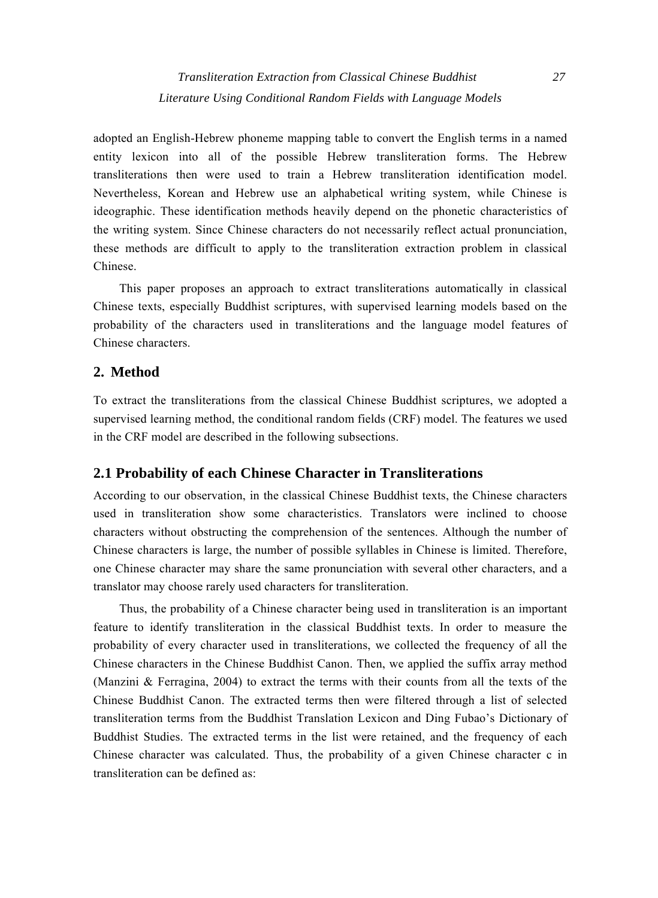*Transliteration Extraction from Classical Chinese Buddhist 27 Literature Using Conditional Random Fields with Language Models* 

adopted an English-Hebrew phoneme mapping table to convert the English terms in a named entity lexicon into all of the possible Hebrew transliteration forms. The Hebrew transliterations then were used to train a Hebrew transliteration identification model. Nevertheless, Korean and Hebrew use an alphabetical writing system, while Chinese is ideographic. These identification methods heavily depend on the phonetic characteristics of the writing system. Since Chinese characters do not necessarily reflect actual pronunciation, these methods are difficult to apply to the transliteration extraction problem in classical Chinese.

This paper proposes an approach to extract transliterations automatically in classical Chinese texts, especially Buddhist scriptures, with supervised learning models based on the probability of the characters used in transliterations and the language model features of Chinese characters.

# **2. Method**

To extract the transliterations from the classical Chinese Buddhist scriptures, we adopted a supervised learning method, the conditional random fields (CRF) model. The features we used in the CRF model are described in the following subsections.

## **2.1 Probability of each Chinese Character in Transliterations**

According to our observation, in the classical Chinese Buddhist texts, the Chinese characters used in transliteration show some characteristics. Translators were inclined to choose characters without obstructing the comprehension of the sentences. Although the number of Chinese characters is large, the number of possible syllables in Chinese is limited. Therefore, one Chinese character may share the same pronunciation with several other characters, and a translator may choose rarely used characters for transliteration.

Thus, the probability of a Chinese character being used in transliteration is an important feature to identify transliteration in the classical Buddhist texts. In order to measure the probability of every character used in transliterations, we collected the frequency of all the Chinese characters in the Chinese Buddhist Canon. Then, we applied the suffix array method (Manzini & Ferragina, 2004) to extract the terms with their counts from all the texts of the Chinese Buddhist Canon. The extracted terms then were filtered through a list of selected transliteration terms from the Buddhist Translation Lexicon and Ding Fubao's Dictionary of Buddhist Studies. The extracted terms in the list were retained, and the frequency of each Chinese character was calculated. Thus, the probability of a given Chinese character c in transliteration can be defined as: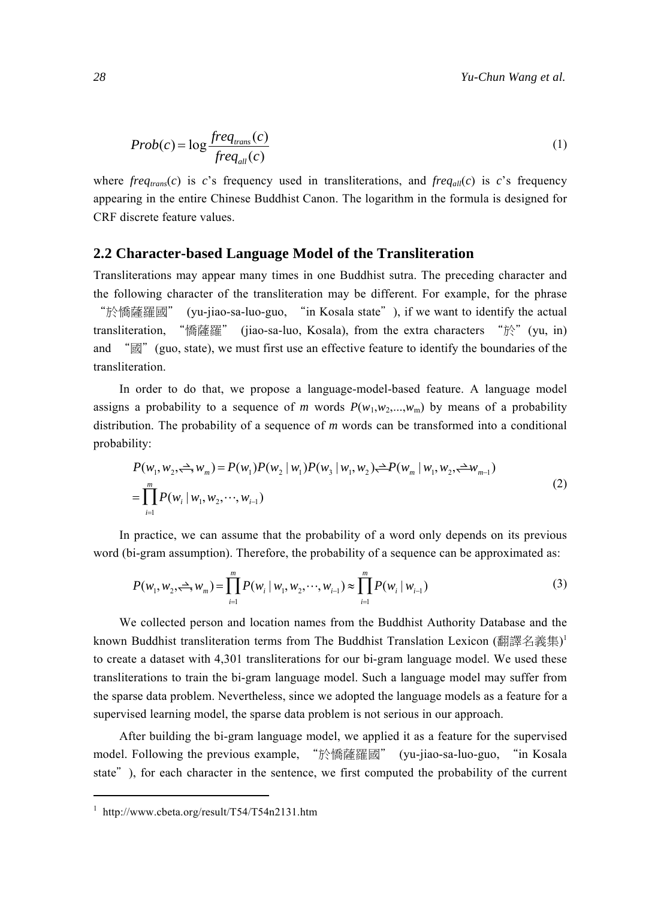$$
Prob(c) = \log \frac{freq_{trans}(c)}{freq_{all}(c)}
$$
 (1)

where  $freq_{trans}(c)$  is *c*'s frequency used in transliterations, and  $freq_{all}(c)$  is *c*'s frequency appearing in the entire Chinese Buddhist Canon. The logarithm in the formula is designed for CRF discrete feature values.

#### **2.2 Character-based Language Model of the Transliteration**

Transliterations may appear many times in one Buddhist sutra. The preceding character and the following character of the transliteration may be different. For example, for the phrase "於憍薩羅國" (yu-jiao-sa-luo-guo, "in Kosala state"), if we want to identify the actual transliteration, "憍薩羅" (jiao-sa-luo, Kosala), from the extra characters "於"(yu, in) and "國"(guo, state), we must first use an effective feature to identify the boundaries of the transliteration.

In order to do that, we propose a language-model-based feature. A language model assigns a probability to a sequence of *m* words  $P(w_1, w_2, \ldots, w_m)$  by means of a probability distribution. The probability of a sequence of *m* words can be transformed into a conditional probability:

$$
P(w_1, w_2, \stackrel{\sim}{\rightarrow} w_m) = P(w_1)P(w_2 | w_1)P(w_3 | w_1, w_2) \stackrel{\sim}{\leftarrow} P(w_m | w_1, w_2, \stackrel{\sim}{\leftarrow} w_{m-1})
$$
  
= 
$$
\prod_{i=1}^{m} P(w_i | w_1, w_2, \cdots, w_{i-1})
$$
 (2)

In practice, we can assume that the probability of a word only depends on its previous word (bi-gram assumption). Therefore, the probability of a sequence can be approximated as:

$$
P(w_1, w_2, \stackrel{\Delta}{\longrightarrow} w_m) = \prod_{i=1}^m P(w_i \mid w_1, w_2, \cdots, w_{i-1}) \approx \prod_{i=1}^m P(w_i \mid w_{i-1})
$$
 (3)

We collected person and location names from the Buddhist Authority Database and the known Buddhist transliteration terms from The Buddhist Translation Lexicon (翻譯名義集) 1 to create a dataset with 4,301 transliterations for our bi-gram language model. We used these transliterations to train the bi-gram language model. Such a language model may suffer from the sparse data problem. Nevertheless, since we adopted the language models as a feature for a supervised learning model, the sparse data problem is not serious in our approach.

After building the bi-gram language model, we applied it as a feature for the supervised model. Following the previous example, "於憍薩羅國" (yu-jiao-sa-luo-guo, "in Kosala state"), for each character in the sentence, we first computed the probability of the current

<sup>1</sup> http://www.cbeta.org/result/T54/T54n2131.htm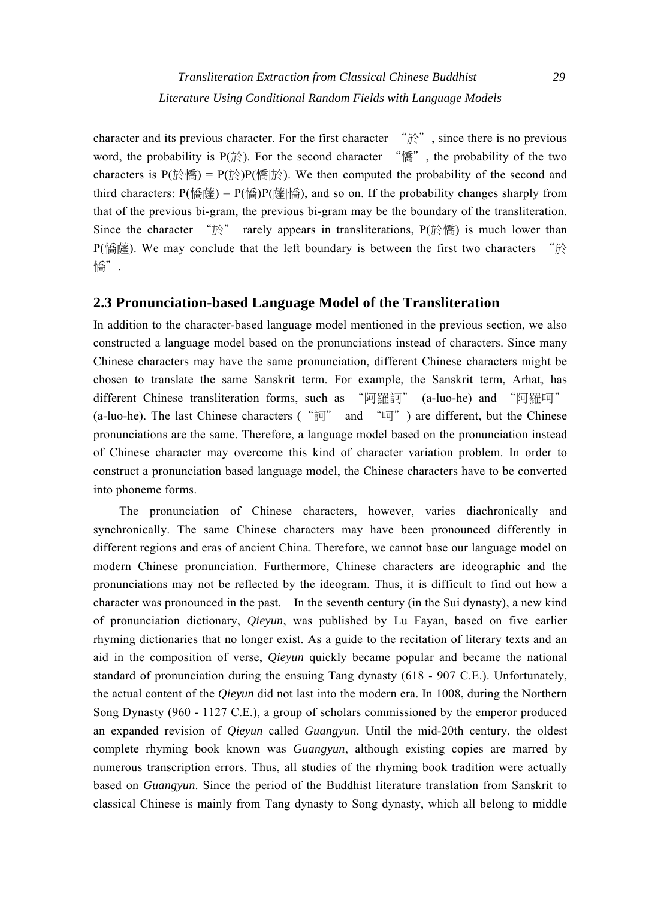character and its previous character. For the first character "於", since there is no previous word, the probability is  $P(f \hat{y})$ . For the second character "form", the probability of the two characters is  $P(f \circ \mathbb{R}) = P(f \circ \mathbb{R})P(f \circ \mathbb{R})$ . We then computed the probability of the second and third characters:  $P(\text{ }) = P(\text{K})P(\vec{\text{F}})$  and so on. If the probability changes sharply from that of the previous bi-gram, the previous bi-gram may be the boundary of the transliteration. Since the character " $\aleph$ " rarely appears in transliterations, P( $\aleph$ ) is much lower than P(憍薩). We may conclude that the left boundary is between the first two characters "於 憍".

#### **2.3 Pronunciation-based Language Model of the Transliteration**

In addition to the character-based language model mentioned in the previous section, we also constructed a language model based on the pronunciations instead of characters. Since many Chinese characters may have the same pronunciation, different Chinese characters might be chosen to translate the same Sanskrit term. For example, the Sanskrit term, Arhat, has different Chinese transliteration forms, such as "阿羅訶" (a-luo-he) and "阿羅呵" (a-luo-he). The last Chinese characters (" $\frac{2}{3}$ " and " $\frac{1}{10}$ ") are different, but the Chinese pronunciations are the same. Therefore, a language model based on the pronunciation instead of Chinese character may overcome this kind of character variation problem. In order to construct a pronunciation based language model, the Chinese characters have to be converted into phoneme forms.

The pronunciation of Chinese characters, however, varies diachronically and synchronically. The same Chinese characters may have been pronounced differently in different regions and eras of ancient China. Therefore, we cannot base our language model on modern Chinese pronunciation. Furthermore, Chinese characters are ideographic and the pronunciations may not be reflected by the ideogram. Thus, it is difficult to find out how a character was pronounced in the past. In the seventh century (in the Sui dynasty), a new kind of pronunciation dictionary, *Qieyun*, was published by Lu Fayan, based on five earlier rhyming dictionaries that no longer exist. As a guide to the recitation of literary texts and an aid in the composition of verse, *Qieyun* quickly became popular and became the national standard of pronunciation during the ensuing Tang dynasty (618 - 907 C.E.). Unfortunately, the actual content of the *Qieyun* did not last into the modern era. In 1008, during the Northern Song Dynasty (960 - 1127 C.E.), a group of scholars commissioned by the emperor produced an expanded revision of *Qieyun* called *Guangyun*. Until the mid-20th century, the oldest complete rhyming book known was *Guangyun*, although existing copies are marred by numerous transcription errors. Thus, all studies of the rhyming book tradition were actually based on *Guangyun*. Since the period of the Buddhist literature translation from Sanskrit to classical Chinese is mainly from Tang dynasty to Song dynasty, which all belong to middle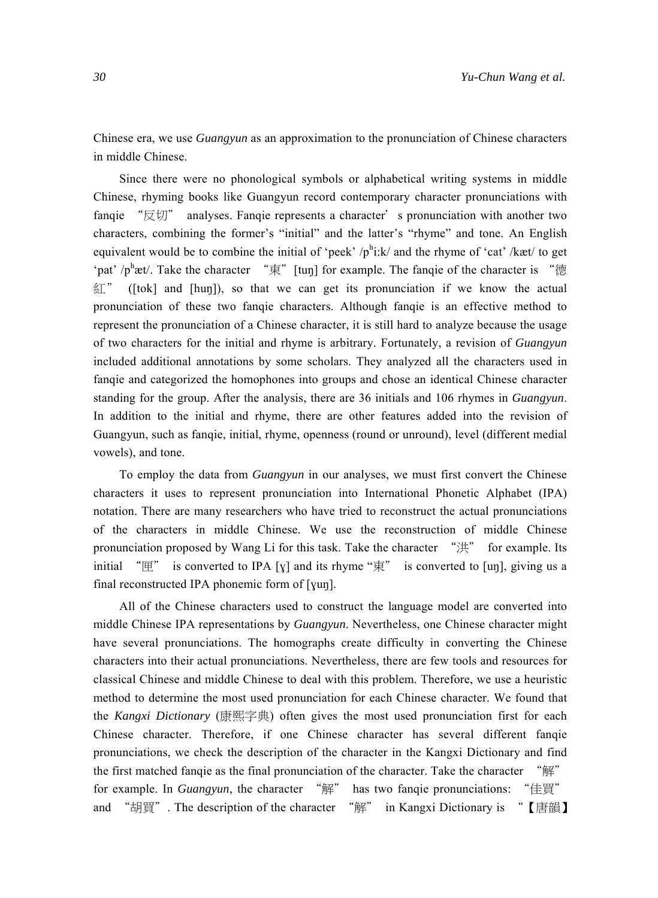Chinese era, we use *Guangyun* as an approximation to the pronunciation of Chinese characters in middle Chinese.

Since there were no phonological symbols or alphabetical writing systems in middle Chinese, rhyming books like Guangyun record contemporary character pronunciations with fanqie "反切" analyses. Fanqie represents a character' s pronunciation with another two characters, combining the former's "initial" and the latter's "rhyme" and tone. An English equivalent would be to combine the initial of 'peek'  $/p^h$ i:k/ and the rhyme of 'cat' /kæt/ to get 'pat' /p<sup>h</sup>æt/. Take the character "東"[tuŋ] for example. The fanqie of the character is "德 紅" ([tok] and [huŋ]), so that we can get its pronunciation if we know the actual pronunciation of these two fanqie characters. Although fanqie is an effective method to represent the pronunciation of a Chinese character, it is still hard to analyze because the usage of two characters for the initial and rhyme is arbitrary. Fortunately, a revision of *Guangyun* included additional annotations by some scholars. They analyzed all the characters used in fanqie and categorized the homophones into groups and chose an identical Chinese character standing for the group. After the analysis, there are 36 initials and 106 rhymes in *Guangyun*. In addition to the initial and rhyme, there are other features added into the revision of Guangyun, such as fanqie, initial, rhyme, openness (round or unround), level (different medial vowels), and tone.

To employ the data from *Guangyun* in our analyses, we must first convert the Chinese characters it uses to represent pronunciation into International Phonetic Alphabet (IPA) notation. There are many researchers who have tried to reconstruct the actual pronunciations of the characters in middle Chinese. We use the reconstruction of middle Chinese pronunciation proposed by Wang Li for this task. Take the character "洪" for example. Its initial "匣" is converted to IPA [ $\chi$ ] and its rhyme "東" is converted to [uŋ], giving us a final reconstructed IPA phonemic form of [ɣuŋ].

All of the Chinese characters used to construct the language model are converted into middle Chinese IPA representations by *Guangyun*. Nevertheless, one Chinese character might have several pronunciations. The homographs create difficulty in converting the Chinese characters into their actual pronunciations. Nevertheless, there are few tools and resources for classical Chinese and middle Chinese to deal with this problem. Therefore, we use a heuristic method to determine the most used pronunciation for each Chinese character. We found that the *Kangxi Dictionary* (康熙字典) often gives the most used pronunciation first for each Chinese character. Therefore, if one Chinese character has several different fanqie pronunciations, we check the description of the character in the Kangxi Dictionary and find the first matched fanqie as the final pronunciation of the character. Take the character "解" for example. In *Guangyun*, the character "解" has two fanqie pronunciations: "佳買" and "胡買". The description of the character "解" in Kangxi Dictionary is "【唐韻】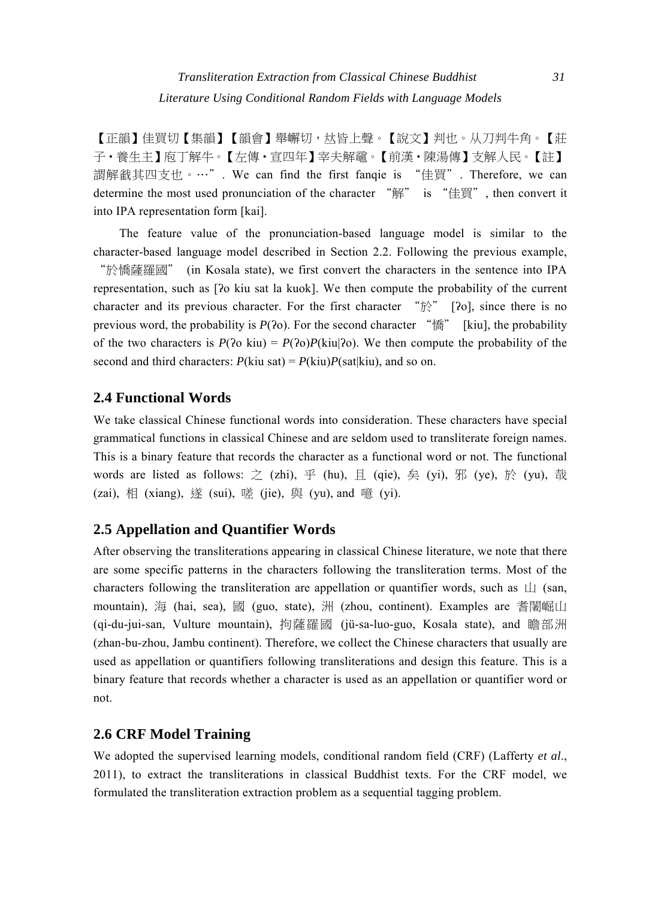【正韻】佳買切【集韻】【韻會】舉嶰切,皆上聲。【說文】判也。从刀判牛角。【莊 子・養生主】庖丁解牛。【左傳・宣四年】宰夫解黿。【前漢・陳湯傳】支解人民。【註】 謂解其四支也。…". We can find the first fanqie is "佳買". Therefore, we can determine the most used pronunciation of the character "解" is "佳買", then convert it into IPA representation form [kai].

The feature value of the pronunciation-based language model is similar to the character-based language model described in Section 2.2. Following the previous example, "於憍薩羅國" (in Kosala state), we first convert the characters in the sentence into IPA representation, such as [ʔo kiu sat la kuok]. We then compute the probability of the current character and its previous character. For the first character " $\hat{r}$ " [?o], since there is no previous word, the probability is *P*(ʔo). For the second character "憍" [kiu], the probability of the two characters is  $P(2\alpha)P(kiu|2\alpha)$ . We then compute the probability of the second and third characters:  $P$ (kiu sat) =  $P$ (kiu) $P$ (sat|kiu), and so on.

# **2.4 Functional Words**

We take classical Chinese functional words into consideration. These characters have special grammatical functions in classical Chinese and are seldom used to transliterate foreign names. This is a binary feature that records the character as a functional word or not. The functional words are listed as follows:  $\geq$  (zhi),  $\mathcal{F}$  (hu),  $\mathcal{F}$  (qie),  $\hat{\mathcal{F}}$  (yi),  $\mathcal{F}$  (ye),  $\hat{\mathcal{F}}$  (yu), 哉 (zai), 相 (xiang), 遂 (sui), 嗟 (jie), 與 (yu), and 噫 (yi).

# **2.5 Appellation and Quantifier Words**

After observing the transliterations appearing in classical Chinese literature, we note that there are some specific patterns in the characters following the transliteration terms. Most of the characters following the transliteration are appellation or quantifier words, such as  $\Box$  (san, mountain), 海 (hai, sea), 國 (guo, state), 洲 (zhou, continent). Examples are 耆闍崛山 (qi-du-jui-san, Vulture mountain), 拘薩羅國 (jü-sa-luo-guo, Kosala state), and 瞻部洲 (zhan-bu-zhou, Jambu continent). Therefore, we collect the Chinese characters that usually are used as appellation or quantifiers following transliterations and design this feature. This is a binary feature that records whether a character is used as an appellation or quantifier word or not.

# **2.6 CRF Model Training**

We adopted the supervised learning models, conditional random field (CRF) (Lafferty *et al*., 2011), to extract the transliterations in classical Buddhist texts. For the CRF model, we formulated the transliteration extraction problem as a sequential tagging problem.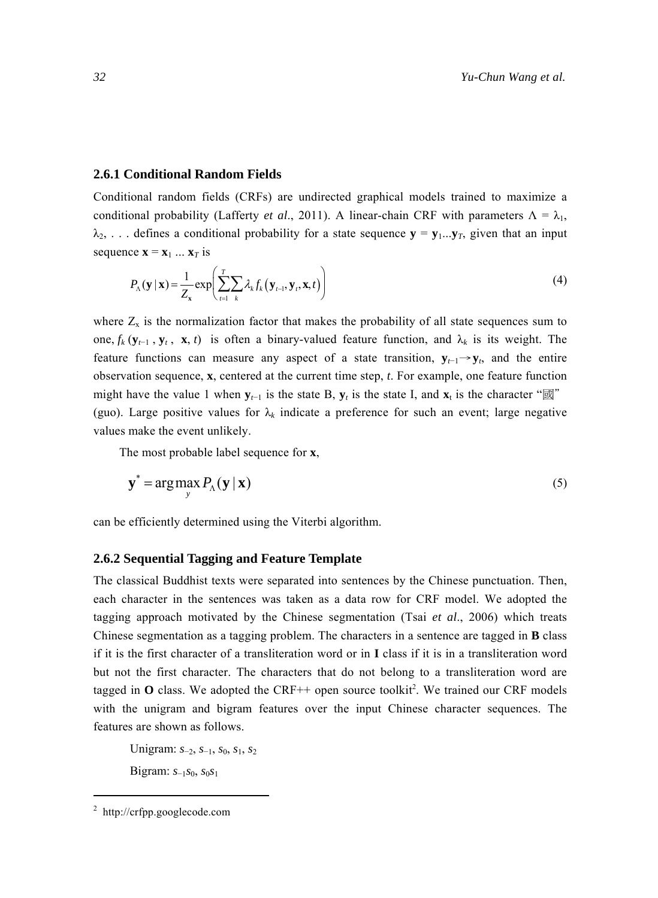#### **2.6.1 Conditional Random Fields**

Conditional random fields (CRFs) are undirected graphical models trained to maximize a conditional probability (Lafferty *et al.*, 2011). A linear-chain CRF with parameters  $\Lambda = \lambda_1$ ,  $\lambda_2$ , ... defines a conditional probability for a state sequence  $y = y_1...y_T$ , given that an input sequence  $\mathbf{x} = \mathbf{x}_1 ... \mathbf{x}_T$  is

$$
P_{\Lambda}(\mathbf{y} \mid \mathbf{x}) = \frac{1}{Z_{\mathbf{x}}} \exp\left(\sum_{t=1}^{T} \sum_{k} \lambda_{k} f_{k}(\mathbf{y}_{t-1}, \mathbf{y}_{t}, \mathbf{x}, t)\right)
$$
(4)

where  $Z_x$  is the normalization factor that makes the probability of all state sequences sum to one,  $f_k$  ( $\mathbf{y}_{t-1}$ ,  $\mathbf{y}_t$ ,  $\mathbf{x}$ , *t*) is often a binary-valued feature function, and  $\lambda_k$  is its weight. The feature functions can measure any aspect of a state transition,  $\mathbf{y}_{t-1} \rightarrow \mathbf{y}_t$ , and the entire observation sequence, **x**, centered at the current time step, *t*. For example, one feature function might have the value 1 when  $\mathbf{y}_{t-1}$  is the state B,  $\mathbf{y}_t$  is the state I, and  $\mathbf{x}_t$  is the character " $\mathbf{z}$ " (guo). Large positive values for  $\lambda_k$  indicate a preference for such an event; large negative values make the event unlikely.

The most probable label sequence for **x**,

$$
\mathbf{y}^* = \arg \max_{\mathbf{y}} P_{\Lambda}(\mathbf{y} \,|\, \mathbf{x}) \tag{5}
$$

can be efficiently determined using the Viterbi algorithm.

#### **2.6.2 Sequential Tagging and Feature Template**

The classical Buddhist texts were separated into sentences by the Chinese punctuation. Then, each character in the sentences was taken as a data row for CRF model. We adopted the tagging approach motivated by the Chinese segmentation (Tsai *et al*., 2006) which treats Chinese segmentation as a tagging problem. The characters in a sentence are tagged in **B** class if it is the first character of a transliteration word or in **I** class if it is in a transliteration word but not the first character. The characters that do not belong to a transliteration word are tagged in  $O$  class. We adopted the CRF<sup>++</sup> open source toolkit<sup>2</sup>. We trained our CRF models with the unigram and bigram features over the input Chinese character sequences. The features are shown as follows.

Unigram: *s*−2, *s*−1, *s*0, *s*1, *s*<sup>2</sup> Bigram: *s*−1*s*0, *s*0*s*<sup>1</sup>

<sup>2</sup> http://crfpp.googlecode.com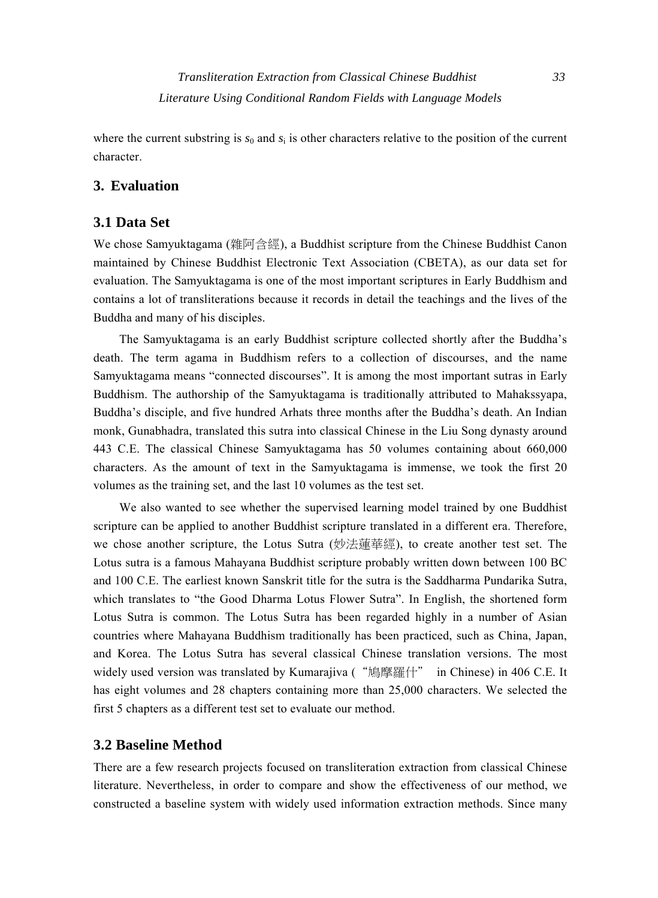where the current substring is  $s_0$  and  $s_i$  is other characters relative to the position of the current character.

#### **3. Evaluation**

#### **3.1 Data Set**

We chose Samyuktagama (雜阿含經), a Buddhist scripture from the Chinese Buddhist Canon maintained by Chinese Buddhist Electronic Text Association (CBETA), as our data set for evaluation. The Samyuktagama is one of the most important scriptures in Early Buddhism and contains a lot of transliterations because it records in detail the teachings and the lives of the Buddha and many of his disciples.

The Samyuktagama is an early Buddhist scripture collected shortly after the Buddha's death. The term agama in Buddhism refers to a collection of discourses, and the name Samyuktagama means "connected discourses". It is among the most important sutras in Early Buddhism. The authorship of the Samyuktagama is traditionally attributed to Mahakssyapa, Buddha's disciple, and five hundred Arhats three months after the Buddha's death. An Indian monk, Gunabhadra, translated this sutra into classical Chinese in the Liu Song dynasty around 443 C.E. The classical Chinese Samyuktagama has 50 volumes containing about 660,000 characters. As the amount of text in the Samyuktagama is immense, we took the first 20 volumes as the training set, and the last 10 volumes as the test set.

We also wanted to see whether the supervised learning model trained by one Buddhist scripture can be applied to another Buddhist scripture translated in a different era. Therefore, we chose another scripture, the Lotus Sutra (妙法蓮華經), to create another test set. The Lotus sutra is a famous Mahayana Buddhist scripture probably written down between 100 BC and 100 C.E. The earliest known Sanskrit title for the sutra is the Saddharma Pundarika Sutra, which translates to "the Good Dharma Lotus Flower Sutra". In English, the shortened form Lotus Sutra is common. The Lotus Sutra has been regarded highly in a number of Asian countries where Mahayana Buddhism traditionally has been practiced, such as China, Japan, and Korea. The Lotus Sutra has several classical Chinese translation versions. The most widely used version was translated by Kumarajiva ("鳩摩羅什" in Chinese) in 406 C.E. It has eight volumes and 28 chapters containing more than 25,000 characters. We selected the first 5 chapters as a different test set to evaluate our method.

## **3.2 Baseline Method**

There are a few research projects focused on transliteration extraction from classical Chinese literature. Nevertheless, in order to compare and show the effectiveness of our method, we constructed a baseline system with widely used information extraction methods. Since many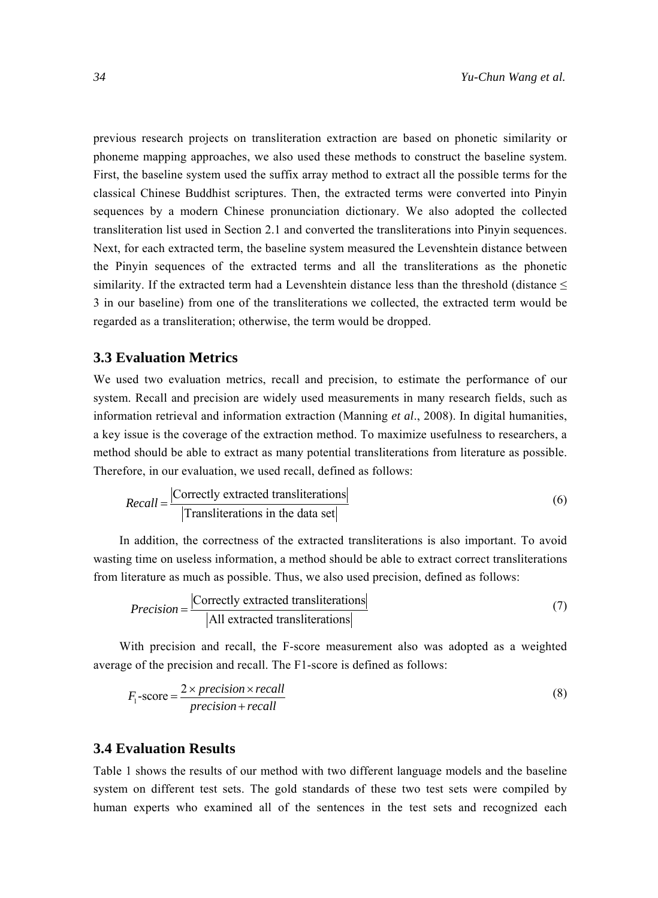previous research projects on transliteration extraction are based on phonetic similarity or phoneme mapping approaches, we also used these methods to construct the baseline system. First, the baseline system used the suffix array method to extract all the possible terms for the classical Chinese Buddhist scriptures. Then, the extracted terms were converted into Pinyin sequences by a modern Chinese pronunciation dictionary. We also adopted the collected transliteration list used in Section 2.1 and converted the transliterations into Pinyin sequences. Next, for each extracted term, the baseline system measured the Levenshtein distance between the Pinyin sequences of the extracted terms and all the transliterations as the phonetic similarity. If the extracted term had a Levenshtein distance less than the threshold (distance  $\leq$ 3 in our baseline) from one of the transliterations we collected, the extracted term would be regarded as a transliteration; otherwise, the term would be dropped.

#### **3.3 Evaluation Metrics**

We used two evaluation metrics, recall and precision, to estimate the performance of our system. Recall and precision are widely used measurements in many research fields, such as information retrieval and information extraction (Manning *et al*., 2008). In digital humanities, a key issue is the coverage of the extraction method. To maximize usefulness to researchers, a method should be able to extract as many potential transliterations from literature as possible. Therefore, in our evaluation, we used recall, defined as follows:

$$
Recall = \frac{|\text{Correctly extracted translations}|}{|\text{Transliterations in the data set}|}\tag{6}
$$

In addition, the correctness of the extracted transliterations is also important. To avoid wasting time on useless information, a method should be able to extract correct transliterations from literature as much as possible. Thus, we also used precision, defined as follows:

$$
Precision = \frac{|\text{Correctly extracted translations}|}{|\text{All extracted translations}|}
$$
(7)

With precision and recall, the F-score measurement also was adopted as a weighted average of the precision and recall. The F1-score is defined as follows:

$$
F_1\text{-score} = \frac{2 \times precision \times recall}{precision + recall}
$$
 (8)

## **3.4 Evaluation Results**

Table 1 shows the results of our method with two different language models and the baseline system on different test sets. The gold standards of these two test sets were compiled by human experts who examined all of the sentences in the test sets and recognized each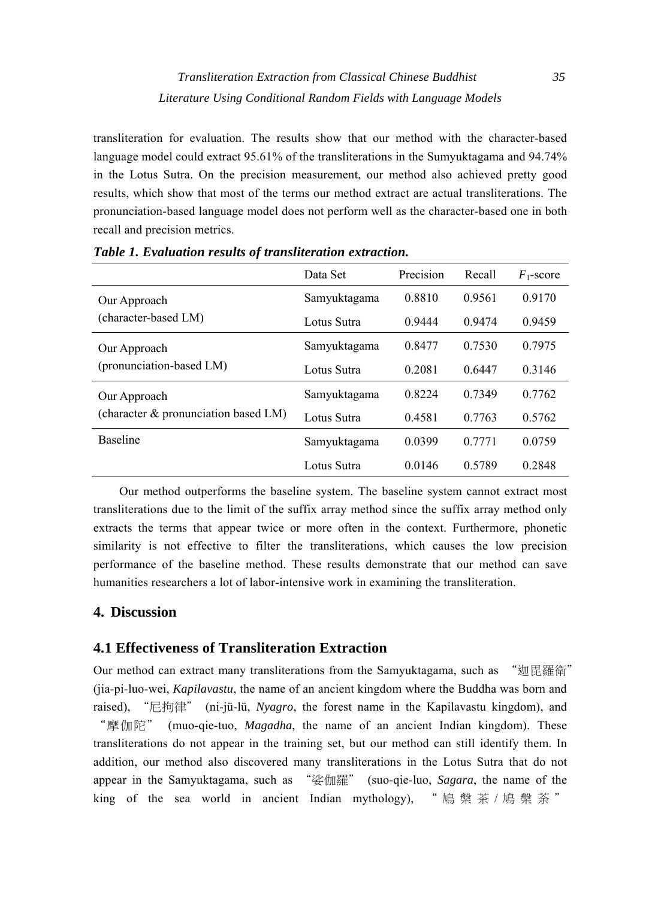transliteration for evaluation. The results show that our method with the character-based language model could extract 95.61% of the transliterations in the Sumyuktagama and 94.74% in the Lotus Sutra. On the precision measurement, our method also achieved pretty good results, which show that most of the terms our method extract are actual transliterations. The pronunciation-based language model does not perform well as the character-based one in both recall and precision metrics.

|                                                      | Data Set     | Precision | Recall | $F_1$ -score |
|------------------------------------------------------|--------------|-----------|--------|--------------|
| Our Approach<br>(character-based LM)                 | Samyuktagama | 0.8810    | 0.9561 | 0.9170       |
|                                                      | Lotus Sutra  | 0.9444    | 0.9474 | 0.9459       |
| Our Approach<br>(pronunciation-based LM)             | Samyuktagama | 0.8477    | 0.7530 | 0.7975       |
|                                                      | Lotus Sutra  | 0.2081    | 0.6447 | 0.3146       |
| Our Approach<br>(character & pronunciation based LM) | Samyuktagama | 0.8224    | 0.7349 | 0.7762       |
|                                                      | Lotus Sutra  | 0.4581    | 0.7763 | 0.5762       |
| <b>Baseline</b>                                      | Samyuktagama | 0.0399    | 0.7771 | 0.0759       |
|                                                      | Lotus Sutra  | 0.0146    | 0.5789 | 0.2848       |

*Table 1. Evaluation results of transliteration extraction.* 

Our method outperforms the baseline system. The baseline system cannot extract most transliterations due to the limit of the suffix array method since the suffix array method only extracts the terms that appear twice or more often in the context. Furthermore, phonetic similarity is not effective to filter the transliterations, which causes the low precision performance of the baseline method. These results demonstrate that our method can save humanities researchers a lot of labor-intensive work in examining the transliteration.

## **4. Discussion**

# **4.1 Effectiveness of Transliteration Extraction**

Our method can extract many transliterations from the Samyuktagama, such as "迦毘羅衛" (jia-pi-luo-wei, *Kapilavastu*, the name of an ancient kingdom where the Buddha was born and raised), "尼拘律" (ni-jü-lü, *Nyagro*, the forest name in the Kapilavastu kingdom), and "摩伽陀" (muo-qie-tuo, *Magadha*, the name of an ancient Indian kingdom). These transliterations do not appear in the training set, but our method can still identify them. In addition, our method also discovered many transliterations in the Lotus Sutra that do not appear in the Samyuktagama, such as "娑伽羅" (suo-qie-luo, *Sagara*, the name of the king of the sea world in ancient Indian mythology), "鳩槃茶/鳩槃荼"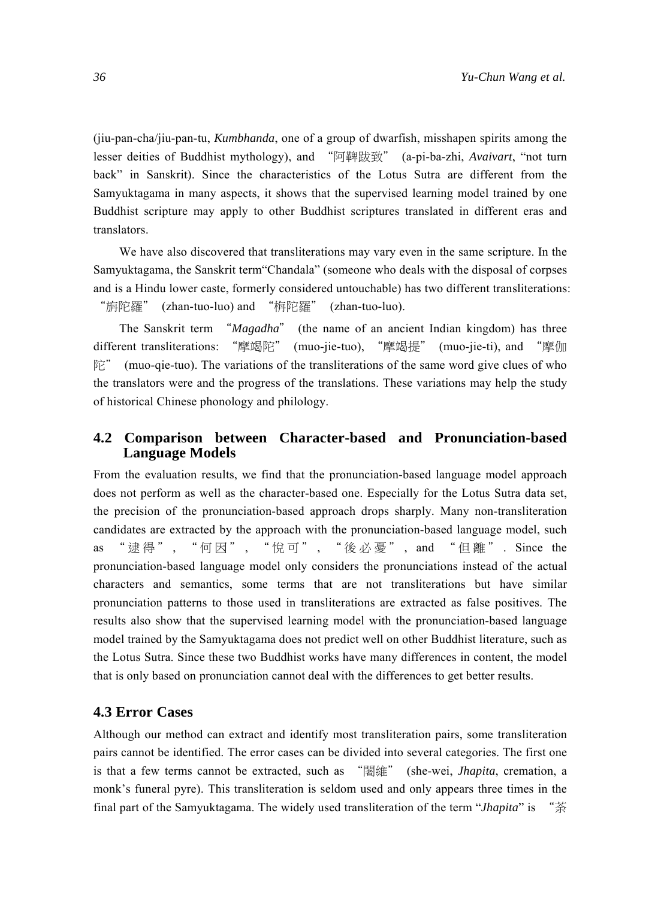(jiu-pan-cha/jiu-pan-tu, *Kumbhanda*, one of a group of dwarfish, misshapen spirits among the lesser deities of Buddhist mythology), and "阿鞞跋致" (a-pi-ba-zhi, *Avaivart*, "not turn back" in Sanskrit). Since the characteristics of the Lotus Sutra are different from the Samyuktagama in many aspects, it shows that the supervised learning model trained by one Buddhist scripture may apply to other Buddhist scriptures translated in different eras and translators.

We have also discovered that transliterations may vary even in the same scripture. In the Samyuktagama, the Sanskrit term"Chandala" (someone who deals with the disposal of corpses and is a Hindu lower caste, formerly considered untouchable) has two different transliterations: "旃陀羅" (zhan-tuo-luo) and "栴陀羅" (zhan-tuo-luo).

The Sanskrit term "*Magadha*" (the name of an ancient Indian kingdom) has three different transliterations: "摩竭陀" (muo-jie-tuo), "摩竭提" (muo-jie-ti), and "摩伽  $\mathbb{R}$ " (muo-qie-tuo). The variations of the transliterations of the same word give clues of who the translators were and the progress of the translations. These variations may help the study of historical Chinese phonology and philology.

## **4.2 Comparison between Character-based and Pronunciation-based Language Models**

From the evaluation results, we find that the pronunciation-based language model approach does not perform as well as the character-based one. Especially for the Lotus Sutra data set, the precision of the pronunciation-based approach drops sharply. Many non-transliteration candidates are extracted by the approach with the pronunciation-based language model, such as "逮得" , "何因" , "悅可" , "後必憂" , and "但離" . Since the pronunciation-based language model only considers the pronunciations instead of the actual characters and semantics, some terms that are not transliterations but have similar pronunciation patterns to those used in transliterations are extracted as false positives. The results also show that the supervised learning model with the pronunciation-based language model trained by the Samyuktagama does not predict well on other Buddhist literature, such as the Lotus Sutra. Since these two Buddhist works have many differences in content, the model that is only based on pronunciation cannot deal with the differences to get better results.

#### **4.3 Error Cases**

Although our method can extract and identify most transliteration pairs, some transliteration pairs cannot be identified. The error cases can be divided into several categories. The first one is that a few terms cannot be extracted, such as "闍維" (she-wei, *Jhapita*, cremation, a monk's funeral pyre). This transliteration is seldom used and only appears three times in the final part of the Samyuktagama. The widely used transliteration of the term "*Jhapita*" is "荼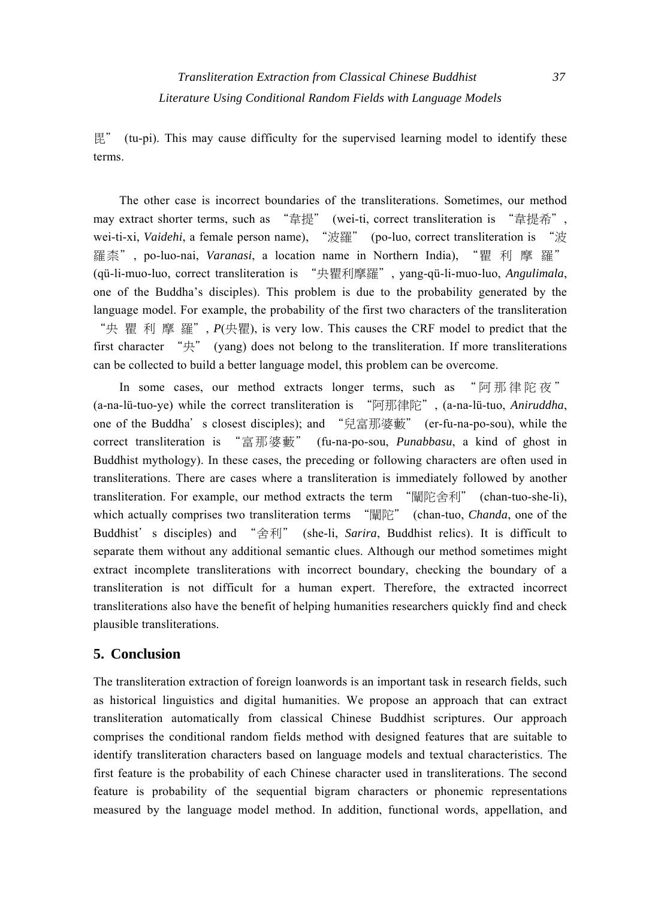毘" (tu-pi). This may cause difficulty for the supervised learning model to identify these terms.

The other case is incorrect boundaries of the transliterations. Sometimes, our method may extract shorter terms, such as "韋提" (wei-ti, correct transliteration is "韋提希", wei-ti-xi, *Vaidehi*, a female person name), "波羅" (po-luo, correct transliteration is "波 羅柰", po-luo-nai, *Varanasi*, a location name in Northern India), "瞿 利 摩 羅" (qü-li-muo-luo, correct transliteration is "央瞿利摩羅", yang-qü-li-muo-luo, *Angulimala*, one of the Buddha's disciples). This problem is due to the probability generated by the language model. For example, the probability of the first two characters of the transliteration "央 瞿 利 摩 羅", *P*(央瞿), is very low. This causes the CRF model to predict that the first character "央" (yang) does not belong to the transliteration. If more transliterations can be collected to build a better language model, this problem can be overcome.

In some cases, our method extracts longer terms, such as "阿那律陀夜" (a-na-lü-tuo-ye) while the correct transliteration is "阿那律陀", (a-na-lü-tuo, *Aniruddha*, one of the Buddha's closest disciples); and "兒富那婆藪" (er-fu-na-po-sou), while the correct transliteration is "富那婆藪" (fu-na-po-sou, *Punabbasu*, a kind of ghost in Buddhist mythology). In these cases, the preceding or following characters are often used in transliterations. There are cases where a transliteration is immediately followed by another transliteration. For example, our method extracts the term "闡陀舍利" (chan-tuo-she-li), which actually comprises two transliteration terms "闡陀" (chan-tuo, *Chanda*, one of the Buddhist's disciples) and "舍利" (she-li, *Sarira*, Buddhist relics). It is difficult to separate them without any additional semantic clues. Although our method sometimes might extract incomplete transliterations with incorrect boundary, checking the boundary of a transliteration is not difficult for a human expert. Therefore, the extracted incorrect transliterations also have the benefit of helping humanities researchers quickly find and check plausible transliterations.

## **5. Conclusion**

The transliteration extraction of foreign loanwords is an important task in research fields, such as historical linguistics and digital humanities. We propose an approach that can extract transliteration automatically from classical Chinese Buddhist scriptures. Our approach comprises the conditional random fields method with designed features that are suitable to identify transliteration characters based on language models and textual characteristics. The first feature is the probability of each Chinese character used in transliterations. The second feature is probability of the sequential bigram characters or phonemic representations measured by the language model method. In addition, functional words, appellation, and